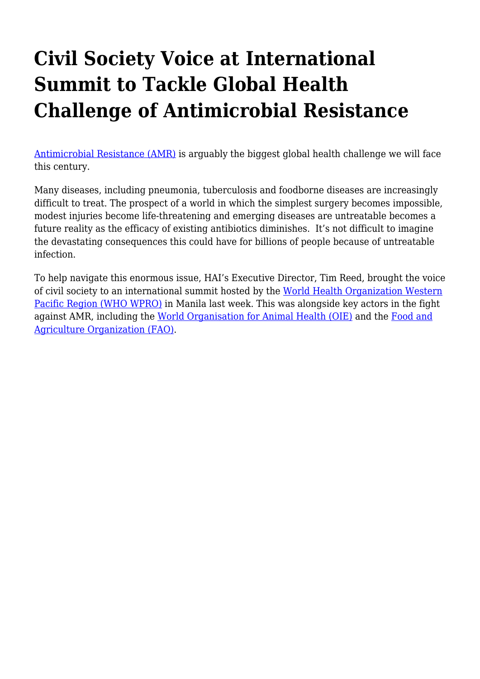## **Civil Society Voice at International Summit to Tackle Global Health Challenge of Antimicrobial Resistance**

[Antimicrobial Resistance \(AMR\)](https://haiweb.org/three-keys-to-curbing-antibiotic-resistance/) is arguably the biggest global health challenge we will face this century.

Many diseases, including pneumonia, tuberculosis and foodborne diseases are increasingly difficult to treat. The prospect of a world in which the simplest surgery becomes impossible, modest injuries become life-threatening and emerging diseases are untreatable becomes a future reality as the efficacy of existing antibiotics diminishes. It's not difficult to imagine the devastating consequences this could have for billions of people because of untreatable infection.

To help navigate this enormous issue, HAI's Executive Director, Tim Reed, brought the voice of civil society to an international summit hosted by the [World Health Organization Western](https://www.who.int/westernpacific/about/where-we-work) [Pacific Region \(WHO WPRO\)](https://www.who.int/westernpacific/about/where-we-work) in Manila last week. This was alongside key actors in the fight against AMR, including the [World Organisation for Animal Health \(OIE\)](http://www.oie.int/) and the [Food and](http://www.fao.org/home/en/) [Agriculture Organization \(FAO\).](http://www.fao.org/home/en/)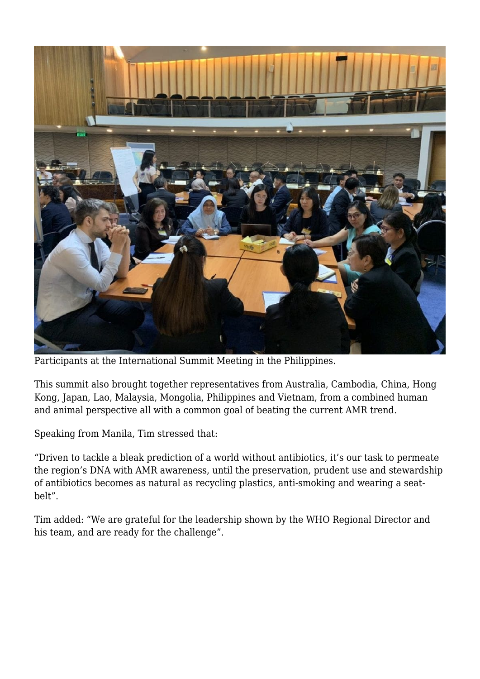

Participants at the International Summit Meeting in the Philippines.

This summit also brought together representatives from Australia, Cambodia, China, Hong Kong, Japan, Lao, Malaysia, Mongolia, Philippines and Vietnam, from a combined human and animal perspective all with a common goal of beating the current AMR trend.

Speaking from Manila, Tim stressed that:

"Driven to tackle a bleak prediction of a world without antibiotics, it's our task to permeate the region's DNA with AMR awareness, until the preservation, prudent use and stewardship of antibiotics becomes as natural as recycling plastics, anti-smoking and wearing a seatbelt".

Tim added: "We are grateful for the leadership shown by the WHO Regional Director and his team, and are ready for the challenge".